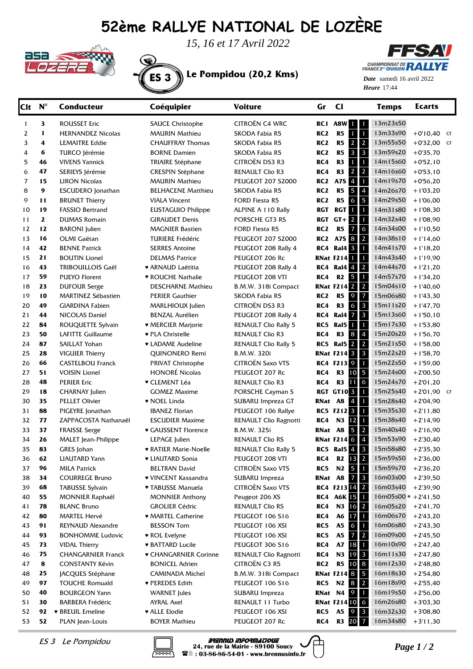## **52ème RALLYE NATIONAL DE LOZÈRE**



*15, 16 et 17 Avril 2022*

ES 3 **Le Pompidou (20,2 Kms)**

**FFSAV CHAMPIONNAT DE RALLYE** 

Heure 17:44 *Date* samedi 16 avril 2022

| <b>Clt</b> | $N^{\circ}$  | <b>Conducteur</b>                       | Coéquipier                          | <b>Voiture</b>                             | Gr              | $_{\rm cl}$                                          | <b>Temps</b>          | <b>Ecarts</b>            |  |
|------------|--------------|-----------------------------------------|-------------------------------------|--------------------------------------------|-----------------|------------------------------------------------------|-----------------------|--------------------------|--|
| 1          | 3            | <b>ROUSSET Eric</b>                     | <b>SAUCE Christophe</b>             | CITROËN C4 WRC                             |                 | RC1 A8W 1<br>$\mathbf{1}$                            | 13m23s50              |                          |  |
| 2          | 1            | <b>HERNANDEZ Nicolas</b>                | <b>MAURIN Mathieu</b>               | SKODA Fabia R5                             | RC <sub>2</sub> | 1<br>$\blacksquare$<br>R <sub>5</sub>                | 13m33s90              | $+0'10,40$ CF            |  |
| 3          | 4            | <b>LEMAITRE Eddie</b>                   | <b>CHAUFFRAY Thomas</b>             | SKODA Fabia R5                             | RC <sub>2</sub> | $\overline{2}$<br>R5<br>$\mathbf{2}$                 | 13m55s50              | $+0'32,00$ CF            |  |
| 4          | 6            | TURCO Jérémie                           | <b>BORNE Damien</b>                 | SKODA Fabia R5                             | RC <sub>2</sub> | $\overline{\mathbf{3}}$<br>R5<br>$\mathbf{3}$        | 13m59s20              | $+0'35,70$               |  |
| 5          | 46           | <b>VIVENS Yannick</b>                   | TRIAIRE Stéphane                    | CITROËN DS3 R3                             | RC4             | R <sub>3</sub><br>$\mathbf{1}$<br>$\blacksquare$     | 14m15s60              | $+0'52,10$               |  |
| 6          | 47           | SERIEYS Jérémie                         | <b>CRESPIN Stéphane</b>             | <b>RENAULT Clio R3</b>                     | RC4             | $\overline{2}$<br>R <sub>3</sub><br>$\mathbf{2}$     | 14m16s60              | $+0'53,10$               |  |
| 7          | 15           | <b>LIRON Nicolas</b>                    | <b>MAURIN Mathieu</b>               | <b>PEUGEOT 207 S2000</b>                   | RC2             | $\overline{4}$<br>A7S<br>$\blacksquare$              | 14m19s70              | $+0'56,20$               |  |
| 8          | 9            | <b>ESCUDERO</b> Jonathan                | <b>BELHACENE Matthieu</b>           | SKODA Fabia R5                             | RC <sub>2</sub> | $\overline{5}$<br>$\overline{4}$<br>R5               | 14m26s70              | $+1'03,20$               |  |
| 9          | 11           | <b>BRUNET Thierry</b>                   | <b>VIALA Vincent</b>                | FORD Fiesta R5                             | RC <sub>2</sub> | $\mathbf 6$<br>5<br>R5                               | 14m29s50              | $+1'06,00$               |  |
| 10         | 19           | <b>FASSIO Bertrand</b>                  | <b>EUSTAGUIO Philippe</b>           | ALPINE A 110 Rally                         | RGT             | 1<br>$\blacksquare$<br><b>RGT</b>                    | 14m31s80              | $+1'08,30$               |  |
| 11         | $\mathbf{z}$ | <b>DUMAS Romain</b>                     | <b>GIRAUDET Denis</b>               | PORSCHE GT3 RS                             | RGT             | $GT + 2$<br>$\mathbf{1}$                             | 14m32s40              | $+1'08,90$               |  |
| 12         | 12           | <b>BARONI</b> Julien                    | <b>MAGNIER Bastien</b>              | FORD Fiesta R5                             | RC <sub>2</sub> | 6<br><b>R5</b><br>$\overline{7}$                     | 14m34s00              | $+1'10,50$               |  |
| 13         | 16           | OLMI Gaëtan                             | <b>TURIERE Frédéric</b>             | <b>PEUGEOT 207 S2000</b>                   | RC2             | $\overline{2}$<br>A7S 8                              | 14m38s10              | $+1'14,60$               |  |
| 14         | 42           | <b>BENNE Patrick</b>                    | <b>SERRES Antoine</b>               | PEUGEOT 208 Rally 4                        |                 | <b>RC4 Ral4 3</b><br>$\blacksquare$                  | 14m41s70              | $+1'18,20$               |  |
| 15         | 21           | <b>BOUTIN Lionel</b>                    | <b>DELMAS Patrice</b>               | PEUGEOT 206 Rc                             |                 | <b>RNat F214</b><br>$\blacksquare$                   | 14m43s40              | $+1'19,90$               |  |
| 16         | 43           | TRIBOUILLOIS Gaël                       | ♥ ARNAUD Laëtitia                   | PEUGEOT 208 Rally 4                        |                 | $RC4$ Ral $4$ $4$<br>$\overline{2}$                  | 14m44s70              | $+1'21,20$               |  |
| 17         | 59           | <b>PUEYO Florent</b>                    | ♥ ROUCHE Nathalie                   | PEUGEOT 208 VTI                            | RC4             | R <sub>2</sub> 5<br>$\blacksquare$                   | 14m57s70              | $+1'34,20$               |  |
| 18         | 23           | <b>DUFOUR Serge</b>                     | <b>DESCHARNE Mathieu</b>            | B.M.W. 318i Compact                        |                 | <b>RNat F214 2</b><br>$\vert$ 2                      | 15m04s10              | $+1'40,60$               |  |
| 19         | 10           | <b>MARTINEZ Sébastien</b>               | <b>PERIER Gauthier</b>              | SKODA Fabia R5                             | RC <sub>2</sub> | $\overline{z}$<br>R5<br>$\overline{9}$               | 15m06s80              | $+1'43,30$               |  |
| 20         | 49           | <b>GIARDINA Fabien</b>                  | MARLHIOUX Julien                    | CITROËN DS3 R3                             | RC4             | $6 \overline{3}$<br>R <sub>3</sub>                   | 15m11s20              | $+1'47,70$               |  |
| 21         | 44           | NICOLAS Daniel                          | <b>BENZAL Aurélien</b>              | PEUGEOT 208 Rally 4                        | RC4             | $\vert$ 3<br>Ral4 7                                  | 15m13s60              | $+1'50,10$               |  |
| 22         | 84           | ROUQUETTE Sylvain                       | <b>* MERCIER Marjorie</b>           | <b>RENAULT Clio Rally 5</b>                |                 | $\mathbf{1}$<br>RC5 Ral5 1                           | 15m17s30              | $+1'53,80$               |  |
| 23         | 50           | LAFITTE Guillaume                       | ♥ PLA Christelle                    | RENAULT Clio R3                            | RC4             | R3<br>$8\phantom{1}$<br>$\vert 4$<br>$\overline{2}$  | 15m20s20              | $+1'56,70$               |  |
| 24<br>25   | 87<br>28     | SAILLAT Yohan<br><b>VIGUIER Thierry</b> | ♥ LADAME Audeline<br>QUINONERO Remi | <b>RENAULT Clio Rally 5</b><br>B.M.W. 320i |                 | <b>RC5 Ral5 2</b><br><b>RNat F214 3</b><br>$\vert$ 3 | 15m21s50<br>15m22s20  | $+1'58,00$<br>$+1'58,70$ |  |
| 26         | 66           | <b>CASTELBOU Franck</b>                 | PRIVAT Christophe                   | <b>CITROËN Saxo VTS</b>                    |                 | RC4 F213 9<br>$\mathbf{1}$                           | 15m22s50              | $+1'59,00$               |  |
| 27         | 51           | <b>VOISIN Lionel</b>                    | <b>HONORÉ Nicolas</b>               | PEUGEOT 207 Rc                             | RC4             | R3 10 5                                              | 15m24s00              | $+2'00,50$               |  |
| 28         | 48           | <b>PERIER Eric</b>                      | ♥ CLEMENT Léa                       | RENAULT Clio R3                            | RC4             | R3 11 6                                              | 15m24s70              | $+2'01,20$               |  |
| 29         | 18           | <b>CHARNAY Julien</b>                   | <b>GOMEZ Maxime</b>                 | PORSCHE Cayman S                           |                 | <b>RGT GT10 3</b><br>$\blacksquare$                  | 15m25s40              | $+2'01,90$ CF            |  |
| 30         | 35           | <b>PELLET Olivier</b>                   | • NOEL Linda                        | SUBARU Impreza GT                          |                 | RNat A8 4<br>$\blacksquare$                          | 15m28s40              | $+2'04,90$               |  |
| 31         | 88           | PIGEYRE Jonathan                        | <b>IBANEZ Florian</b>               | PEUGEOT 106 Rallye                         |                 | RC5 F212 3 1                                         | 15m35s30              | $+2'11,80$               |  |
| 32         | 77           | ZAPPACOSTA Nathanaël                    | <b>ESCUDIER Maxime</b>              | RENAULT Clio Ragnotti                      | RC4             | N3 12 1                                              | 15m38s40              | $+2'14,90$               |  |
| 33         | 37           | <b>FRAISSE Serge</b>                    | ♥ GAUSSENT Florence                 | B.M.W. 325i                                | RNat A8         | 5 <sup>2</sup>                                       | 15m40s40              | $+2'16,90$               |  |
| 34         | 26           | MALET Jean-Philippe                     | LEPAGE Julien                       | <b>RENAULT Clio RS</b>                     |                 | <b>RNat F214 6 4</b>                                 | 15m53s90              | $+2'30,40$               |  |
| 35         | 83           | GRES Johan                              | ♥ RATIER Marie-Noelle               | <b>RENAULT Clio Rally 5</b>                |                 | <b>RC5 Ral5 4 3</b>                                  | 15m58s80              | $+2'35.30$               |  |
| 36         | 62           | <b>LIAUTARD Yann</b>                    | <b>v LIAUTARD Sonia</b>             | PEUGEOT 208 VTI                            |                 | RC4 R2 13 2                                          | 15m59s50              | $+2'36,00$               |  |
| 37         | 96           | <b>MILA Patrick</b>                     | <b>BELTRAN David</b>                | <b>CITROËN Saxo VTS</b>                    |                 | RC5 N2 5 1                                           | 15m59s70              | $+2'36,20$               |  |
| 38         | 34           | <b>COURREGE Bruno</b>                   | ♥ VINCENT Kassandra                 | SUBARU Impreza                             |                 | RNat A8<br>$7 \overline{\smash{\big)}\ 3}$           | 16m03s00              | $+2'39,50$               |  |
| 39         | 68           | <b>TABUSSE Sylvain</b>                  | ♥ TABUSSE Manuela                   | CITROËN Saxo VTS                           |                 | RC4 F213 14 2                                        | 16m03s40              | $+2'39,90$               |  |
| 40         | 55           | <b>MONNIER Raphaël</b>                  | <b>MONNIER Anthony</b>              | Peugeot 206 XS                             |                 | RC4 A6K 15 1                                         | $16m05s00 * +2'41,50$ |                          |  |
| 41         | 78           | <b>BLANC Bruno</b>                      | <b>GROLIER Cédric</b>               | <b>RENAULT Clio RS</b>                     | RC4             | N3 16 2                                              | 16m05s20              | $+2'41,70$               |  |
| 42         | 80           | <b>MARTEL Hervé</b>                     | ♥ MARTEL Catherine                  | PEUGEOT 106 S16                            | RC4             | A6 17 1                                              | 16m06s70              | $+2'43,20$               |  |
| 43         | 91           | REYNAUD Alexandre                       | <b>BESSON Tom</b>                   | PEUGEOT 106 XSI                            | RC5             | <b>A5</b><br>6<br>$\blacksquare$                     | 16m06s80              | $+2'43,30$               |  |
| 44         | 93           | <b>BONHOMME Ludovic</b>                 | ♥ ROL Evelyne                       | PEUGEOT 106 XSI                            | RC5             | <b>A5</b><br>$7 \mid 2$                              | 16m09s00              | $+2'45,50$               |  |
| 45         | 73           | <b>VIDAL Thierry</b>                    | <b>* BATTARD Lucile</b>             | PEUGEOT 306 S16                            | RC4             | A7 18 1                                              | 16m10s90              | $+2'47,40$               |  |
| 46         | 75           | <b>CHANGARNIER Franck</b>               | ▼ CHANGARNIER Corinne               | RENAULT Clio Ragnotti                      | RC4             | N3 19 3                                              | 16m11s30              | $+2'47,80$               |  |
| 47         | 8            | <b>CONSTANTY Kévin</b>                  | <b>BONICEL Adrien</b>               | CITROËN C3 R5                              | RC <sub>2</sub> | R <sub>5</sub> 10 8                                  | 16m12s30              | $+2'48,80$               |  |
| 48         | 25           | JACQUES Stéphane                        | <b>CAMINADA Michel</b>              | B.M.W. 318i Compact                        |                 | <b>RNat F214 8 5</b>                                 | 16m18s30              | $+2'54,80$               |  |
| 49         | 97           | <b>TOUCHE Romuald</b>                   | ♥ PEREDES Edith                     | PEUGEOT 106 S16                            |                 | RC5 N2 8 2                                           | 16m18s90              | $+2'55,40$               |  |
| 50         | 40           | <b>BOURGEON Yann</b>                    | <b>WARNET</b> Jules                 | SUBARU Impreza                             |                 | RNat N4 9<br>$\mathbf{1}$                            | 16m19s50              | $+2'56,00$               |  |
| 51         | 30           | <b>BARBERA Frédéric</b>                 | AYRAL Axel                          | RENAULT 11 Turbo                           |                 | <b>RNat F214 10 6</b>                                | 16m26s80              | $+3'03,30$               |  |
| 52         | 92           | ♥ BREUIL Emeline                        | ♥ ALLE Elodie                       | PEUGEOT 106 XSI                            | RC5             | A5 9 3                                               | 16m32s30              | $+3'08,80$               |  |
| 53         | 52           | PLAN Jean-Louis                         | <b>BOYER Mathieu</b>                | PEUGEOT 207 Rc                             | RC4             | R3 20 7                                              | 16m34s80              | $+3'11,30$               |  |